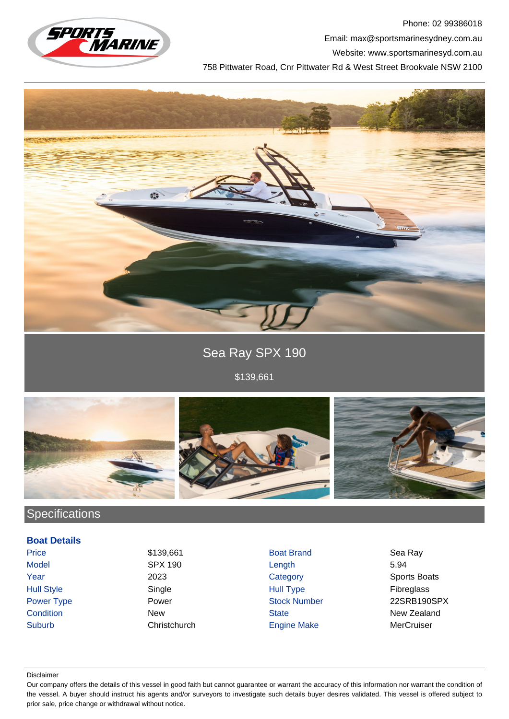

Phone: 02 99386018 Email: max@sportsmarinesydney.com.au Website: www.sportsmarinesyd.com.au 758 Pittwater Road, Cnr Pittwater Rd & West Street Brookvale NSW 2100



Sea Ray SPX 190

\$139,661



# **Specifications**

### **Boat Details**

Price \$139,661 Boat Brand Sea Ray Model SPX 190 Length 5.94 **The Vear** 2023 2023 Category Category Sports Boats Hull Style Single Hull Type Fibreglass Suburb Christchurch Engine Make MerCruiser

Power Type **Power Stock Number 22SRB190SPX Condition** New New State State New Zealand

#### Disclaimer

Our company offers the details of this vessel in good faith but cannot guarantee or warrant the accuracy of this information nor warrant the condition of the vessel. A buyer should instruct his agents and/or surveyors to investigate such details buyer desires validated. This vessel is offered subject to prior sale, price change or withdrawal without notice.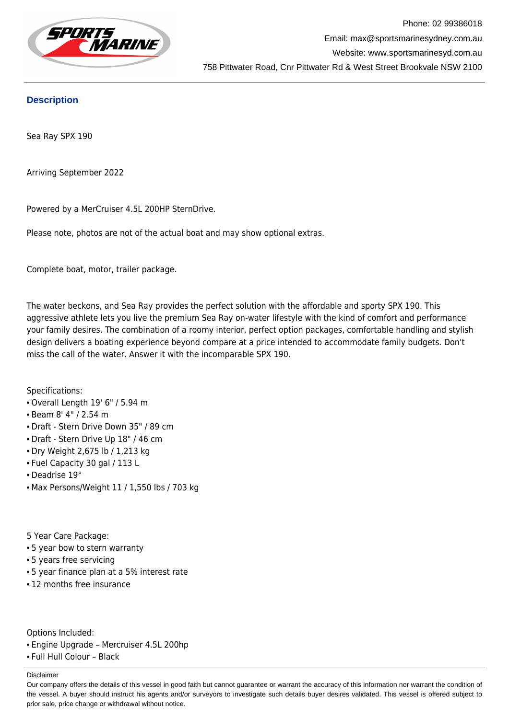

# **Description**

Sea Ray SPX 190

Arriving September 2022

Powered by a MerCruiser 4.5L 200HP SternDrive.

Please note, photos are not of the actual boat and may show optional extras.

Complete boat, motor, trailer package.

The water beckons, and Sea Ray provides the perfect solution with the affordable and sporty SPX 190. This aggressive athlete lets you live the premium Sea Ray on-water lifestyle with the kind of comfort and performance your family desires. The combination of a roomy interior, perfect option packages, comfortable handling and stylish design delivers a boating experience beyond compare at a price intended to accommodate family budgets. Don't miss the call of the water. Answer it with the incomparable SPX 190.

Specifications:

- Overall Length 19' 6" / 5.94 m
- Beam 8' 4" / 2.54 m
- Draft Stern Drive Down 35" / 89 cm
- Draft Stern Drive Up 18" / 46 cm
- Dry Weight 2,675 lb / 1,213 kg
- Fuel Capacity 30 gal / 113 L
- Deadrise 19°
- Max Persons/Weight 11 / 1,550 lbs / 703 kg

5 Year Care Package:

- 5 year bow to stern warranty
- 5 years free servicing
- 5 year finance plan at a 5% interest rate
- 12 months free insurance

Options Included:

- Engine Upgrade Mercruiser 4.5L 200hp
- Full Hull Colour Black

Disclaimer

Our company offers the details of this vessel in good faith but cannot guarantee or warrant the accuracy of this information nor warrant the condition of the vessel. A buyer should instruct his agents and/or surveyors to investigate such details buyer desires validated. This vessel is offered subject to prior sale, price change or withdrawal without notice.